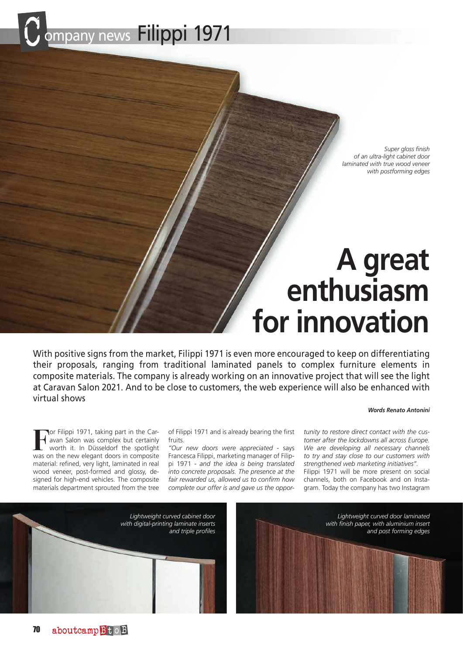

*Super gloss finish of an ultra-light cabinet door laminated with true wood veneer with postforming edges*

# **A great enthusiasm for innovation**

With positive signs from the market, Filippi 1971 is even more encouraged to keep on differentiating their proposals, ranging from traditional laminated panels to complex furniture elements in composite materials. The company is already working on an innovative project that will see the light at Caravan Salon 2021. And to be close to customers, the web experience will also be enhanced with virtual shows

### *Words Renato Antonini*

**Filippi 1971, taking part in the Car-** avan Salon was complex but certainly worth it. In Düsseldorf the spotlight avan Salon was complex but certainly worth it. In Düsseldorf the spotlight was on the new elegant doors in composite material: refined, very light, laminated in real wood veneer, post-formed and glossy, designed for high-end vehicles. The composite materials department sprouted from the tree

of Filippi 1971 and is already bearing the first fruits.

*"Our new doors were appreciated* - says Francesca Filippi, marketing manager of Filippi 1971 - *and the idea is being translated into concrete proposals. The presence at the fair rewarded us, allowed us to confirm how complete our offer is and gave us the oppor-*

*tunity to restore direct contact with the customer after the lockdowns all across Europe. We are developing all necessary channels to try and stay close to our customers with strengthened web marketing initiatives".* Filippi 1971 will be more present on social channels, both on Facebook and on Instagram. Today the company has two Instagram